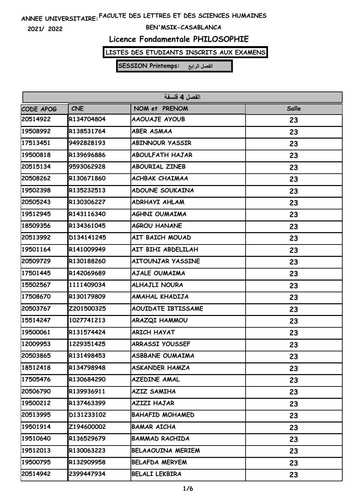**2021/ 2022**

#### **BEN'MSIK-CASABLANCA**

# **Licence Fondamentale PHILOSOPHIE**

# **LISTES DES ETUDIANTS INSCRITS AUX EXAMENS**

| الفصل 4 فلسفة |            |                          |       |
|---------------|------------|--------------------------|-------|
| CODE APOG     | <b>CNE</b> | NOM et PRENOM            | Salle |
| 20514922      | R134704804 | AAOUAJE AYOUB            | 23    |
| 19508992      | R138531764 | <b>ABER ASMAA</b>        | 23    |
| 17513451      | 9492828193 | <b>ABINNOUR YASSIR</b>   | 23    |
| 19500818      | R139696886 | <b>ABOULFATH HAJAR</b>   | 23    |
| 20515134      | 9593062928 | <b>ABOURIAL ZINEB</b>    | 23    |
| 20508262      | R130671860 | ACHBAK CHAIMAA           | 23    |
| 19502398      | R135232513 | <b>ADOUNE SOUKAINA</b>   | 23    |
| 20505243      | R130306227 | ADRHAYI AHLAM            | 23    |
| 19512945      | R143116340 | AGHNI OUMAIMA            | 23    |
| 18509356      | R134361045 | <b>AGROU HANANE</b>      | 23    |
| 20513992      | D134141245 | AIT BAICH MOUAD          | 23    |
| 19501164      | R141009949 | AIT BIHI ABDELILAH       | 23    |
| 20509729      | R130188260 | AITOUNJAR YASSINE        | 23    |
| 17501445      | R142069689 | AJALE OUMAIMA            | 23    |
| 15502567      | 1111409034 | <b>ALHAJLI NOURA</b>     | 23    |
| 17508670      | R130179809 | AMAHAL KHADIJA           | 23    |
| 20503767      | Z201500325 | AOUIDATE IBTISSAME       | 23    |
| 15514247      | 1027741213 | ARAZQI HAMMOU            | 23    |
| 19500061      | R131574424 | <b>ARICH HAYAT</b>       | 23    |
| 12009953      | 1229351425 | <b>ARRASSI YOUSSEF</b>   | 23    |
| 20503865      | R131498453 | <b>ASBBANE OUMAIMA</b>   | 23    |
| 18512418      | R134798948 | <b>ASKANDER HAMZA</b>    | 23    |
| 17505476      | R130684290 | <b>AZEDINE AMAL</b>      | 23    |
| 20506790      | R139936911 | <b>AZIZ SAMIHA</b>       | 23    |
| 19500212      | R137463399 | <b>AZIZI HAJAR</b>       | 23    |
| 20513995      | D131233102 | <b>BAHAFID MOHAMED</b>   | 23    |
| 19501914      | Z194600002 | <b>BAMAR AICHA</b>       | 23    |
| 19510640      | R136529679 | <b>BAMMAD RACHIDA</b>    | 23    |
| 19512013      | R130063223 | <b>BELAAOUINA MERIEM</b> | 23    |
| 19500795      | R132909958 | <b>BELAFDA MERYEM</b>    | 23    |
| 20514942      | 2399447934 | <b>BELALI LEKBIRA</b>    | 23    |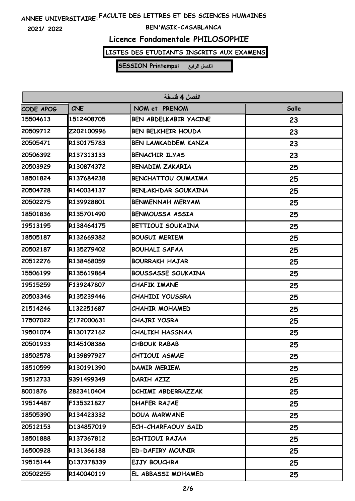**2021/ 2022**

### **BEN'MSIK-CASABLANCA**

# **Licence Fondamentale PHILOSOPHIE**

# **LISTES DES ETUDIANTS INSCRITS AUX EXAMENS**

| الفصل 4 فلسفة |            |                              |       |
|---------------|------------|------------------------------|-------|
| CODE APOG     | <b>CNE</b> | NOM et PRENOM                | Salle |
| 15504613      | 1512408705 | <b>BEN ABDELKABIR YACINE</b> | 23    |
| 20509712      | Z202100996 | <b>BEN BELKHEIR HOUDA</b>    | 23    |
| 20505471      | R130175783 | <b>BEN LAMKADDEM KANZA</b>   | 23    |
| 20506392      | R137313133 | <b>BENACHIR ILYAS</b>        | 23    |
| 20503929      | R130874372 | <b>BENADIM ZAKARIA</b>       | 25    |
| 18501824      | R137684238 | <b>BENCHATTOU OUMAIMA</b>    | 25    |
| 20504728      | R140034137 | <b>BENLAKHDAR SOUKAINA</b>   | 25    |
| 20502275      | R139928801 | <b>BENMENNAH MERYAM</b>      | 25    |
| 18501836      | R135701490 | <b>BENMOUSSA ASSIA</b>       | 25    |
| 19513195      | R138464175 | <b>BETTIOUI SOUKAINA</b>     | 25    |
| 18505187      | R132669382 | <b>BOUGUI MERIEM</b>         | 25    |
| 20502187      | R135279402 | <b>BOUHALI SAFAA</b>         | 25    |
| 20512276      | R138468059 | <b>BOURRAKH HAJAR</b>        | 25    |
| 15506199      | R135619864 | <b>BOUSSASSE SOUKAINA</b>    | 25    |
| 19515259      | F139247807 | <b>CHAFIK IMANE</b>          | 25    |
| 20503346      | R135239446 | <b>CHAHIDI YOUSSRA</b>       | 25    |
| 21514246      | L132251687 | <b>CHAHIR MOHAMED</b>        | 25    |
| 17507022      | Z172000631 | <b>CHAJRI YOSRA</b>          | 25    |
| 19501074      | R130172162 | <b>CHALIKH HASSNAA</b>       | 25    |
| 20501933      | R145108386 | <b>CHBOUK RABAB</b>          | 25    |
| 18502578      | R139897927 | CHTIOUI ASMAE                | 25    |
| 18510599      | R130191390 | DAMIR MERIEM                 | 25    |
| 19512733      | 9391499349 | DARIH AZIZ                   | 25    |
| 8001876       | 2823410404 | DCHIMI ABDERRAZZAK           | 25    |
| 19514487      | F135321827 | <b>DHAFER RAJAE</b>          | 25    |
| 18505390      | R134423332 | <b>DOUA MARWANE</b>          | 25    |
| 20512153      | D134857019 | ECH-CHARFAOUY SAID           | 25    |
| 18501888      | R137367812 | ECHTIOUI RAJAA               | 25    |
| 16500928      | R131366188 | <b>ED-DAFIRY MOUNIR</b>      | 25    |
| 19515144      | D137378339 | EJJY BOUCHRA                 | 25    |
| 20502255      | R140040119 | EL ABBASSI MOHAMED           | 25    |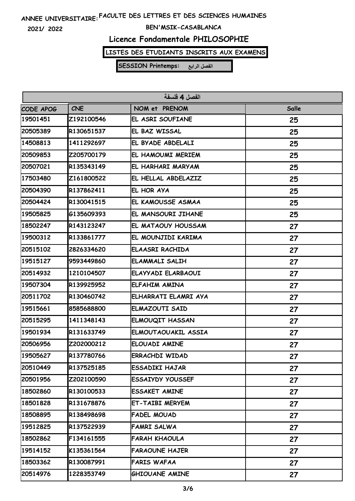**2021/ 2022**

### **BEN'MSIK-CASABLANCA**

# **Licence Fondamentale PHILOSOPHIE**

# **LISTES DES ETUDIANTS INSCRITS AUX EXAMENS**

| الفصل 4 فلسفة |            |                         |              |
|---------------|------------|-------------------------|--------------|
| CODE APOG     | <b>CNE</b> | NOM et PRENOM           | <b>Salle</b> |
| 19501451      | Z192100546 | EL ASRI SOUFIANE        | 25           |
| 20505389      | R130651537 | EL BAZ WISSAL           | 25           |
| 14508813      | 1411292697 | EL BYADE ABDELALI       | 25           |
| 20509853      | Z205700179 | EL HAMOUMI MERIEM       | 25           |
| 20507021      | R135343149 | EL HARHARI MARYAM       | 25           |
| 17503480      | Z161800522 | EL HELLAL ABDELAZIZ     | 25           |
| 20504390      | R137862411 | EL HOR AYA              | 25           |
| 20504424      | R130041515 | EL KAMOUSSE ASMAA       | 25           |
| 19505825      | G135609393 | EL MANSOURI JIHANE      | 25           |
| 18502247      | R143123247 | EL MATAOUY HOUSSAM      | 27           |
| 19500312      | R133861777 | EL MOUNJIDI KARIMA      | 27           |
| 20515102      | 2826334620 | <b>ELAASRI RACHIDA</b>  | 27           |
| 19515127      | 9593449860 | <b>ELAMMALI SALIH</b>   | 27           |
| 20514932      | 1210104507 | ELAYYADI ELARBAOUI      | 27           |
| 19507304      | R139925952 | ELFAHIM AMINA           | 27           |
| 20511702      | R130460742 | ELHARRATI ELAMRI AYA    | 27           |
| 19515661      | 8585688800 | <b>ELMAZOUTI SAID</b>   | 27           |
| 20515295      | 1411348143 | <b>ELMOUQIT HASSAN</b>  | 27           |
| 19501934      | R131633749 | ELMOUTAOUAKIL ASSIA     | 27           |
| 20506956      | Z202000212 | <b>ELOUADI AMINE</b>    | 27           |
| 19505627      | R137780766 | <b>ERRACHDI WIDAD</b>   | 27           |
| 20510449      | R137525185 | <b>ESSADIKI HAJAR</b>   | 27           |
| 20501956      | Z202100590 | <b>ESSAIYDY YOUSSEF</b> | 27           |
| 18502860      | R130100533 | <b>ESSAKET AMINE</b>    | 27           |
| 18501828      | R131678876 | ET-TAIBI MERYEM         | 27           |
| 18508895      | R138498698 | FADEL MOUAD             | 27           |
| 19512825      | R137522939 | FAMRI SALWA             | 27           |
| 18502862      | F134161555 | <b>FARAH KHAOULA</b>    | 27           |
| 19514152      | K135361564 | <b>FARAOUNE HAJER</b>   | 27           |
| 18503362      | R130087991 | <b>FARIS WAFAA</b>      | 27           |
| 20514976      | 1228353749 | GHIOUANE AMINE          | 27           |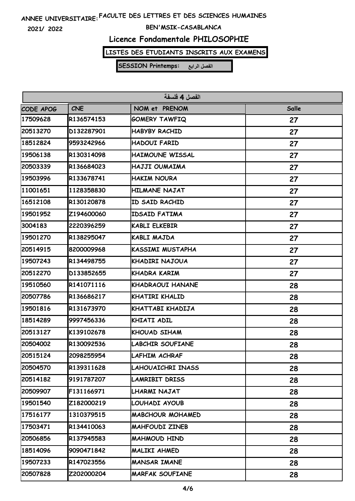**2021/ 2022**

#### **BEN'MSIK-CASABLANCA**

# **Licence Fondamentale PHILOSOPHIE**

# **LISTES DES ETUDIANTS INSCRITS AUX EXAMENS**

| الفصل 4 فلسفة |            |                         |       |
|---------------|------------|-------------------------|-------|
| CODE APOG     | <b>CNE</b> | NOM et PRENOM           | Salle |
| 17509628      | R136574153 | <b>GOMERY TAWFIQ</b>    | 27    |
| 20513270      | D132287901 | <b>HABYBY RACHID</b>    | 27    |
| 18512824      | 9593242966 | HADOUI FARID            | 27    |
| 19506138      | R130314098 | <b>HAIMOUNE WISSAL</b>  | 27    |
| 20503339      | R136684023 | HAJJI OUMAIMA           | 27    |
| 19503996      | R133678741 | <b>HAKIM NOURA</b>      | 27    |
| 11001651      | 1128358830 | <b>HILMANE NAJAT</b>    | 27    |
| 16512108      | R130120878 | ID SAID RACHID          | 27    |
| 19501952      | Z194600060 | <b>IDSAID FATIMA</b>    | 27    |
| 3004183       | 2220396259 | <b>KABLI ELKEBIR</b>    | 27    |
| 19501270      | R138295047 | KABLI MAJDA             | 27    |
| 20514915      | 8200009968 | KASSIMI MUSTAPHA        | 27    |
| 19507243      | R134498755 | KHADIRI NAJOUA          | 27    |
| 20512270      | D133852655 | KHADRA KARIM            | 27    |
| 19510560      | R141071116 | KHADRAOUI HANANE        | 28    |
| 20507786      | R136686217 | KHATIRI KHALID          | 28    |
| 19501816      | R131673970 | KHATTABI KHADIJA        | 28    |
| 18514289      | 9997456336 | KHIATI ADIL             | 28    |
| 20513127      | K139102678 | KHOUAD SIHAM            | 28    |
| 20504002      | R130092536 | <b>LABCHIR SOUFIANE</b> | 28    |
| 20515124      | 2098255954 | LAFHIM ACHRAF           | 28    |
| 20504570      | R139311628 | LAHOUAICHRI INASS       | 28    |
| 20514182      | 9191787207 | LAMRIBIT DRISS          | 28    |
| 20509907      | F131166971 | LHARMI NAJAT            | 28    |
| 19501540      | Z182000219 | LOUHADI AYOUB           | 28    |
| 17516177      | 1310379515 | <b>MABCHOUR MOHAMED</b> | 28    |
| 17503471      | R134410063 | <b>MAHFOUDI ZINEB</b>   | 28    |
| 20506856      | R137945583 | <b>MAHMOUD HIND</b>     | 28    |
| 18514096      | 9090471842 | MALIKI AHMED            | 28    |
| 19507233      | R147023556 | <b>MANSAR IMANE</b>     | 28    |
| 20507828      | Z202000204 | <b>MARFAK SOUFIANE</b>  | 28    |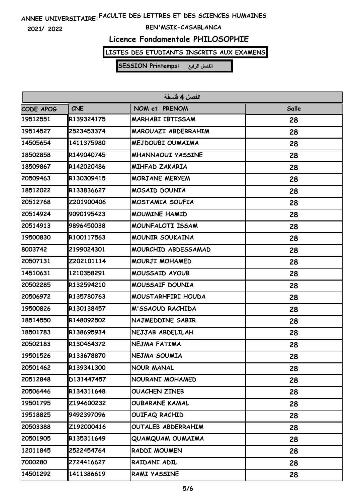**2021/ 2022**

#### **BEN'MSIK-CASABLANCA**

# **Licence Fondamentale PHILOSOPHIE**

# **LISTES DES ETUDIANTS INSCRITS AUX EXAMENS**

| الفصل 4 فلسفة |            |                          |       |
|---------------|------------|--------------------------|-------|
| CODE APOG     | <b>CNE</b> | NOM et PRENOM            | Salle |
| 19512551      | R139324175 | <b>MARHABI IBTISSAM</b>  | 28    |
| 19514527      | 2523453374 | MAROUAZI ABDERRAHIM      | 28    |
| 14505654      | 1411375980 | MEJDOUBI OUMAIMA         | 28    |
| 18502858      | R149040745 | <b>MHANNAOUI YASSINE</b> | 28    |
| 18509867      | R142020486 | <b>MIHFAD ZAKARIA</b>    | 28    |
| 20509463      | R130309415 | <b>MORJANE MERYEM</b>    | 28    |
| 18512022      | R133836627 | <b>MOSAID DOUNIA</b>     | 28    |
| 20512768      | Z201900406 | MOSTAMIA SOUFIA          | 28    |
| 20514924      | 9090195423 | <b>MOUMINE HAMID</b>     | 28    |
| 20514913      | 9896450038 | MOUNFALOTI ISSAM         | 28    |
| 19500830      | R100117563 | <b>MOUNIR SOUKAINA</b>   | 28    |
| 8003742       | 2199024301 | MOURCHID ABDESSAMAD      | 28    |
| 20507131      | Z202101114 | MOURJI MOHAMED           | 28    |
| 14510631      | 1210358291 | MOUSSAID AYOUB           | 28    |
| 20502285      | R132594210 | MOUSSAIF DOUNIA          | 28    |
| 20506972      | R135780763 | MOUSTARHFIRI HOUDA       | 28    |
| 19500826      | R130138457 | M'SSAOUD RACHIDA         | 28    |
| 18514550      | R148092502 | NAJMEDDINE SABIR         | 28    |
| 18501783      | R138695934 | NEJJAB ABDELILAH         | 28    |
| 20502183      | R130464372 | NEJMA FATIMA             | 28    |
| 19501526      | R133678870 | NEJMA SOUMIA             | 28    |
| 20501462      | R139341300 | <b>NOUR MANAL</b>        | 28    |
| 20512848      | D131447457 | NOURANI MOHAMED          | 28    |
| 20506446      | R134311648 | <b>OUACHEN ZINEB</b>     | 28    |
| 19501795      | Z194600232 | <b>OUBARANE KAMAL</b>    | 28    |
| 19518825      | 9492397096 | OUIFAQ RACHID            | 28    |
| 20503388      | Z192000416 | OUTALEB ABDERRAHIM       | 28    |
| 20501905      | R135311649 | QUAMQUAM OUMAIMA         | 28    |
| 12011845      | 2522454764 | RADDI MOUMEN             | 28    |
| 7000280       | 2724416627 | RAIDANI ADIL             | 28    |
| 14501292      | 1411386619 | RAMI YASSINE             | 28    |